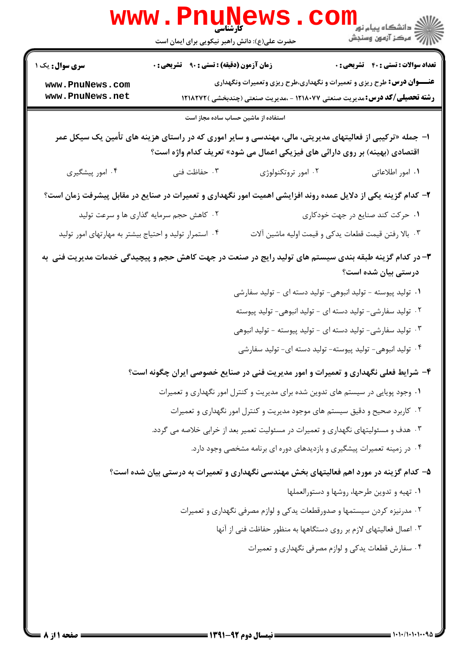|                                                                                                              | WWW • FII<br><b>کارشناسی</b><br>حضرت علی(ع): دانش راهبر نیکویی برای ایمان است |                                                                                    | الاد دانشگاه پيام نور <mark>− −</mark><br>  <i>  &gt;</i> مرکز آزمون وسنجش                               |
|--------------------------------------------------------------------------------------------------------------|-------------------------------------------------------------------------------|------------------------------------------------------------------------------------|----------------------------------------------------------------------------------------------------------|
| <b>سری سوال :</b> یک ۱                                                                                       | <b>زمان آزمون (دقیقه) : تستی : ۹۰ قشریحی : 0</b>                              |                                                                                    | <b>تعداد سوالات : تستي : 40 - تشريحي : 0</b>                                                             |
| www.PnuNews.com                                                                                              |                                                                               |                                                                                    | <b>عنـــوان درس:</b> طرح ریزی و تعمیرات و نگهداری،طرح ریزی وتعمیرات ونگهداری                             |
| www.PnuNews.net                                                                                              |                                                                               |                                                                                    | <b>رشته تحصیلی/کد درس:</b> مدیریت صنعتی ۱۲۱۸۰۷۷ - ،مدیریت صنعتی (چندبخشی )۱۲۱۸۲۷۲                        |
|                                                                                                              | استفاده از ماشین حساب ساده مجاز است                                           |                                                                                    |                                                                                                          |
|                                                                                                              |                                                                               | اقتصادی (بهینه) بر روی دارائی های فیزیکی اعمال می شود» تعریف کدام واژه است؟        | ا– جمله «ترکیبی از فعالیتهای مدیریتی، مالی، مهندسی و سایر اموری که در راستای هزینه های تأمین یک سیکل عمر |
| ۰۴ امور پیشگیری                                                                                              | ۰۳ حفاظت فنی                                                                  | ۰۲ امور تروتکنولوژی                                                                | ۰۱ امور اطلاعاتی                                                                                         |
| ۲– کدام گزینه یکی از دلایل عمده روند افزایشی اهمیت امور نگهداری و تعمیرات در صنایع در مقابل پیشرفت زمان است؟ |                                                                               |                                                                                    |                                                                                                          |
|                                                                                                              | ۰۲ کاهش حجم سرمایه گذاری ها و سرعت تولید                                      |                                                                                    | ٠١ حركت كند صنايع در جهت خودكارى                                                                         |
| ۰۴ استمرار تولید و احتیاج بیشتر به مهارتهای امور تولید                                                       |                                                                               |                                                                                    | ۰۳ بالا رفتن قیمت قطعات یدکی و قیمت اولیه ماشین آلات                                                     |
| ۳- در کدام گزینه طبقه بندی سیستم های تولید رایج در صنعت در جهت کاهش حجم و پیچیدگی خدمات مدیریت فنی به        |                                                                               |                                                                                    | درستی بیان شده است؟                                                                                      |
|                                                                                                              |                                                                               | ۰۱ تولید پیوسته - تولید انبوهی- تولید دسته ای - تولید سفارشی                       |                                                                                                          |
|                                                                                                              |                                                                               | ۰۲ تولید سفارشی- تولید دسته ای - تولید انبوهی- تولید پیوسته                        |                                                                                                          |
|                                                                                                              |                                                                               | ۰۳ تولید سفارشی- تولید دسته ای - تولید پیوسته - تولید انبوهی                       |                                                                                                          |
|                                                                                                              |                                                                               | ۰۴ تولید انبوهی- تولید پیوسته- تولید دسته ای- تولید سفارشی                         |                                                                                                          |
|                                                                                                              |                                                                               |                                                                                    | ۴- شرایط فعلی نگهداری و تعمیرات و امور مدیریت فنی در صنایع خصوصی ایران چگونه است؟                        |
|                                                                                                              |                                                                               | ۰۱ وجود پویایی در سیستم های تدوین شده برای مدیریت و کنترل امور نگهداری و تعمیرات   |                                                                                                          |
|                                                                                                              |                                                                               | ۲ . کاربرد صحیح و دقیق سیستم های موجود مدیریت و کنترل امور نگهداری و تعمیرات       |                                                                                                          |
|                                                                                                              |                                                                               | ۰۳ هدف و مسئولیتهای نگهداری و تعمیرات در مسئولیت تعمیر بعد از خرابی خلاصه می گردد. |                                                                                                          |
|                                                                                                              |                                                                               | ۰۴ در زمینه تعمیرات پیشگیری و بازدیدهای دوره ای برنامه مشخصی وجود دارد.            |                                                                                                          |
|                                                                                                              |                                                                               |                                                                                    | ۵– کدام گزینه در مورد اهم فعالیتهای بخش مهندسی نگهداری و تعمیرات به درستی بیان شده است؟                  |
|                                                                                                              |                                                                               |                                                                                    | ٠١ تهيه وتدوين طرحها، روشها و دستورالعملها                                                               |
|                                                                                                              |                                                                               | ۰۲ مدرنیزه کردن سیستمها و صدورقطعات یدکی و لوازم مصرفی نگهداری و تعمیرات           |                                                                                                          |
|                                                                                                              |                                                                               | ۰۳ اعمال فعالیتهای لازم بر روی دستگاهها به منظور حفاظت فنی از آنها                 |                                                                                                          |
|                                                                                                              |                                                                               |                                                                                    | ۰۴ سفارش قطعات يدكي و لوازم مصرفي نگهداري و تعميرات                                                      |
|                                                                                                              |                                                                               |                                                                                    |                                                                                                          |
|                                                                                                              |                                                                               |                                                                                    |                                                                                                          |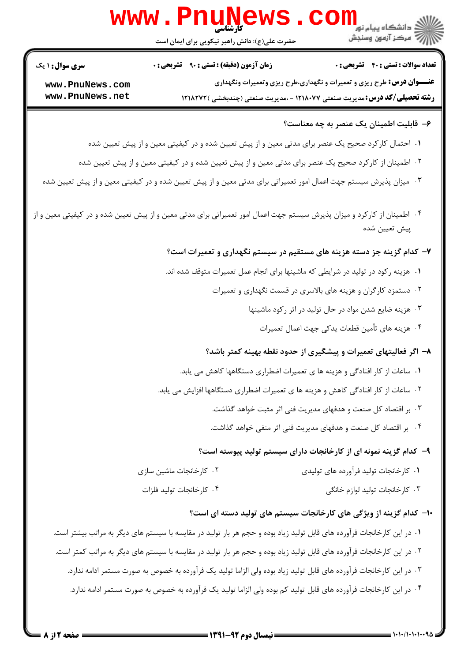| <b>www.PnuNews</b>                 |                                                                                                                          |                                                                                                                                                                    |  |
|------------------------------------|--------------------------------------------------------------------------------------------------------------------------|--------------------------------------------------------------------------------------------------------------------------------------------------------------------|--|
|                                    | حضرت علی(ع): دانش راهبر نیکویی برای ایمان است                                                                            |                                                                                                                                                                    |  |
| <b>سری سوال : ۱ یک</b>             | <b>زمان آزمون (دقیقه) : تستی : ۹۰ قشریحی : 0</b>                                                                         | <b>تعداد سوالات : تستی : 40 قشریحی : 0</b>                                                                                                                         |  |
| www.PnuNews.com<br>www.PnuNews.net |                                                                                                                          | <b>عنـــوان درس:</b> طرح ریزی و تعمیرات و نگهداری،طرح ریزی وتعمیرات ونگهداری<br><b>رشته تحصیلی/کد درس: م</b> دیریت صنعتی ۱۲۱۸۰۷۷ - ،مدیریت صنعتی (چندبخشی )۱۲۱۸۲۷۲ |  |
|                                    |                                                                                                                          | ۶– قابلیت اطمینان یک عنصر به چه معناست؟                                                                                                                            |  |
|                                    | ۰۱ احتمال کارکرد صحیح یک عنصر برای مدتی معین و از پیش تعیین شده و در کیفیتی معین و از پیش تعیین شده                      |                                                                                                                                                                    |  |
|                                    | ۰۲ اطمینان از کارکرد صحیح یک عنصر برای مدتی معین و از پیش تعیین شده و در کیفیتی معین و از پیش تعیین شده                  |                                                                                                                                                                    |  |
|                                    | ۰۳ میزان پذیرش سیستم جهت اعمال امور تعمیراتی برای مدتی معین و از پیش تعیین شده و در کیفیتی معین و از پیش تعیین شده       |                                                                                                                                                                    |  |
|                                    | ۰۴ اطمینان از کارکرد و میزان پذیرش سیستم جهت اعمال امور تعمیراتی برای مدتی معین و از پیش تعیین شده و در کیفیتی معین و از | پیش تعیین شده                                                                                                                                                      |  |
|                                    |                                                                                                                          | ۷- کدام گزینه جز دسته هزینه های مستقیم در سیستم نگهداری و تعمیرات است؟                                                                                             |  |
|                                    | ۰۱ هزینه رکود در تولید در شرایطی که ماشینها برای انجام عمل تعمیرات متوقف شده اند.                                        |                                                                                                                                                                    |  |
|                                    |                                                                                                                          | ۰۲ دستمزد کارگران و هزینه های بالاسری در قسمت نگهداری و تعمیرات                                                                                                    |  |
|                                    |                                                                                                                          | ۰۳ هزینه ضایع شدن مواد در حال تولید در اثر رکود ماشینها                                                                                                            |  |
|                                    |                                                                                                                          | ۰۴ هزینه های تأمین قطعات یدکی جهت اعمال تعمیرات                                                                                                                    |  |
|                                    |                                                                                                                          | ۸– اگر فعالیتهای تعمیرات و پیشگیری از حدود نقطه بهینه کمتر باشد؟                                                                                                   |  |
|                                    |                                                                                                                          | ۰۱ ساعات از کار افتادگی و هزینه ها ی تعمیرات اضطراری دستگاهها کاهش می یابد.                                                                                        |  |
|                                    | ۲ . ساعات از کار افتادگی کاهش و هزینه ها ی تعمیرات اضطراری دستگاهها افزایش می یابد.                                      |                                                                                                                                                                    |  |
|                                    |                                                                                                                          | ۰۳ بر اقتصاد کل صنعت و هدفهای مدیریت فنی اثر مثبت خواهد گذاشت.                                                                                                     |  |
|                                    |                                                                                                                          | ۰۴ بر اقتصاد کل صنعت و هدفهای مدیریت فنی اثر منفی خواهد گذاشت.                                                                                                     |  |
|                                    |                                                                                                                          | ۹– کدام گزینه نمونه ای از کارخانجات دارای سیستم تولید پیوسته است؟                                                                                                  |  |
|                                    | ۰۲ کارخانجات ماشین سازی                                                                                                  | ٠١ كارخانجات توليد فرآورده هاى توليدى                                                                                                                              |  |
|                                    | ۰۴ كارخانجات توليد فلزات                                                                                                 | ۰۳ کارخانجات تولید لوازم خانگی                                                                                                                                     |  |
|                                    |                                                                                                                          | ۱۰– کدام گزینه از ویژگی های کارخانجات سیستم های تولید دسته ای است؟                                                                                                 |  |
|                                    | ۰۱ در این کارخانجات فرآورده های قابل تولید زیاد بوده و حجم هر بار تولید در مقایسه با سیستم های دیگر به مراتب بیشتر است.  |                                                                                                                                                                    |  |
|                                    | ۲ . در این کارخانجات فرآورده های قابل تولید زیاد بوده و حجم هر بار تولید در مقایسه با سیستم های دیگر به مراتب کمتر است.  |                                                                                                                                                                    |  |

- ۰۳ در این کارخانجات فرآورده های قابل تولید زیاد بوده ولی الزاما تولید یک فرآورده به خصوص به صورت مستمر ادامه ندارد.
	- ۰۴ در این کارخانجات فرآورده های قابل تولید کم بوده ولی الزاما تولید یک فرآورده به خصوص به صورت مستمر ادامه ندارد.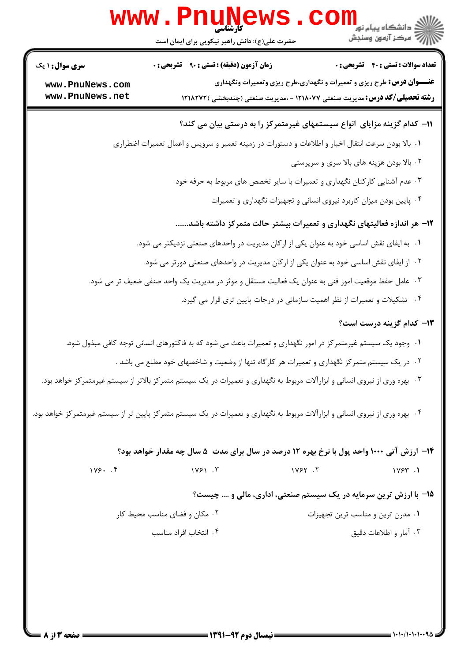|                                    | WWW.PI<br>حضرت علی(ع): دانش راهبر نیکویی برای ایمان است                                                                      | ر دانشگاه پيام نور <mark>− ا</mark><br>ار <i>آخر مرکز آزمون وسنجش</i>                                                                                              |
|------------------------------------|------------------------------------------------------------------------------------------------------------------------------|--------------------------------------------------------------------------------------------------------------------------------------------------------------------|
| <b>سری سوال : ۱ یک</b>             | زمان آزمون (دقیقه) : تستی : ۹۰٪ تشریحی : ۰                                                                                   | <b>تعداد سوالات : تستی : 40 قشریحی : 0</b>                                                                                                                         |
| www.PnuNews.com<br>www.PnuNews.net |                                                                                                                              | <b>عنـــوان درس:</b> طرح ریزی و تعمیرات و نگهداری،طرح ریزی وتعمیرات ونگهداری<br><b>رشته تحصیلی/کد درس: م</b> دیریت صنعتی ۱۲۱۸۰۷۷ - ،مدیریت صنعتی (چندبخشی )۱۲۱۸۲۷۲ |
|                                    | 1۱– کدام گزینه مزایای انواع سیستمهای غیرمتمرکز را به درستی بیان می کند؟                                                      |                                                                                                                                                                    |
|                                    | ۰۱ بالا بودن سرعت انتقال اخبار و اطلاعات و دستورات در زمینه تعمیر و سرویس و اعمال تعمیرات اضطراری                            |                                                                                                                                                                    |
|                                    |                                                                                                                              | ۰۲ بالا بودن هزینه های بالا سری و سرپرستی                                                                                                                          |
|                                    | ۰۳ عدم آشنایی کارکنان نگهداری و تعمیرات با سایر تخصص های مربوط به حرفه خود                                                   |                                                                                                                                                                    |
|                                    |                                                                                                                              | ۰۴ پایین بودن میزان کاربرد نیروی انسانی و تجهیزات نگهداری و تعمیرات                                                                                                |
|                                    | ۱۲– هر اندازه فعالیتهای نگهداری و تعمیرات بیشتر حالت متمرکز داشته باشد                                                       |                                                                                                                                                                    |
|                                    | ۰۱ به ایفای نقش اساسی خود به عنوان یکی از ارکان مدیریت در واحدهای صنعتی نزدیکتر می شود.                                      |                                                                                                                                                                    |
|                                    | ۰۲ از ایفای نقش اساسی خود به عنوان یکی از ارکان مدیریت در واحدهای صنعتی دورتر می شود.                                        |                                                                                                                                                                    |
|                                    | ۰۳ عامل حفظ موقعیت امور فنی به عنوان یک فعالیت مستقل و موثر در مدیریت یک واحد صنفی ضعیف تر می شود.                           |                                                                                                                                                                    |
|                                    | ۰۴ تشکیلات و تعمیرات از نظر اهمیت سازمانی در درجات پایین تری قرار می گیرد.                                                   |                                                                                                                                                                    |
|                                    |                                                                                                                              | ۱۳- کدام گزینه درست است؟                                                                                                                                           |
|                                    | ۰۱ وجود یک سیستم غیرمتمرکز در امور نگهداری و تعمیرات باعث می شود که به فاکتورهای انسانی توجه کافی مبذول شود.                 |                                                                                                                                                                    |
|                                    | ۰۲ در یک سیستم متمرکز نگهداری و تعمیرات هر کارگاه تنها از وضعیت و شاخصهای خود مطلع می باشد .                                 |                                                                                                                                                                    |
|                                    | ۰۳ بهره وری از نیروی انسانی و ابزارآلات مربوط به نگهداری و تعمیرات در یک سیستم متمرکز بالاتر از سیستم غیرمتمرکز خواهد بود.   |                                                                                                                                                                    |
|                                    | ۰۴ بهره وری از نیروی انسانی و ابزارآلات مربوط به نگهداری و تعمیرات در یک سیستم متمرکز پایین تر از سیستم غیرمتمرکز خواهد بود. |                                                                                                                                                                    |
|                                    | ۱۴- ارزش آتی ۱۰۰۰ واحد پول با نرخ بهره ۱۲ درصد در سال برای مدت ۵ سال چه مقدار خواهد بود؟                                     |                                                                                                                                                                    |
| $1199.$ $.9$                       | 1Y51.7<br>1Y5Y.7                                                                                                             | 11954.1                                                                                                                                                            |
|                                    |                                                                                                                              | ۱۵- با ارزش ترین سرمایه در یک سیستم صنعتی، اداری، مالی و  چیست؟                                                                                                    |
|                                    | ۰۲ مکان و فضای مناسب محیط کار                                                                                                | ۰۱ مدرن ترین و مناسب ترین تجهیزات                                                                                                                                  |
|                                    | ۰۴ انتخاب افراد مناسب                                                                                                        | ۰۳ آمار و اطلاعات دقیق                                                                                                                                             |
|                                    |                                                                                                                              |                                                                                                                                                                    |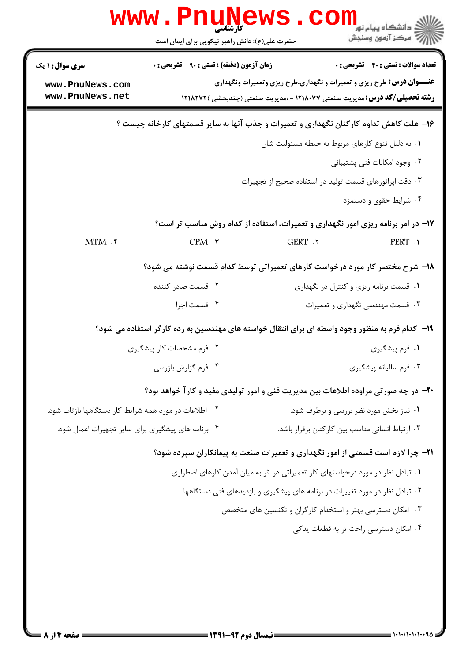|                                                       | <b>www . Furille</b><br>حضرت علی(ع): دانش راهبر نیکویی برای ایمان است |                                                                                                 | ≧ دانشگاه پيام نو <mark>ر</mark><br>رِ ۖ مرڪز آزمون وسنڊش |
|-------------------------------------------------------|-----------------------------------------------------------------------|-------------------------------------------------------------------------------------------------|-----------------------------------------------------------|
| <b>سری سوال :</b> ۱ یک                                | <b>زمان آزمون (دقیقه) : تستی : ۹۰ قشریحی: 0</b>                       |                                                                                                 | <b>تعداد سوالات : تستی : 40 - تشریحی : 0</b>              |
| www.PnuNews.com                                       |                                                                       | <b>عنـــوان درس:</b> طرح ریزی و تعمیرات و نگهداری،طرح ریزی وتعمیرات ونگهداری                    |                                                           |
| www.PnuNews.net                                       |                                                                       | <b>رشته تحصیلی/کد درس:</b> مدیریت صنعتی ۱۲۱۸۰۷۷ - ،مدیریت صنعتی (چندبخشی )۱۲۱۸۲۷۲               |                                                           |
|                                                       |                                                                       | ۱۶- علت کاهش تداوم کارکنان نگهداری و تعمیرات و جذب آنها به سایر قسمتهای کارخانه چیست ؟          |                                                           |
|                                                       |                                                                       | ۰۱ به دلیل تنوع کارهای مربوط به حیطه مسئولیت شان                                                |                                                           |
|                                                       |                                                                       |                                                                                                 | ۰۲ وجود امکانات فنی پشتیبانی                              |
|                                                       |                                                                       | ۰۳ دقت اپراتورهای قسمت تولید در استفاده صحیح از تجهیزات                                         |                                                           |
|                                                       |                                                                       |                                                                                                 | ۰۴ شرایط حقوق و دستمزد                                    |
|                                                       |                                                                       | ۱۷- در امر برنامه ریزی امور نگهداری و تعمیرات، استفاده از کدام روش مناسب تر است؟                |                                                           |
| $MTM$ .                                               | CPM.                                                                  | GERT . ٢                                                                                        | PERT .                                                    |
|                                                       |                                                                       | ۱۸- شرح مختصر کار مورد درخواست کارهای تعمیراتی توسط کدام قسمت نوشته می شود؟                     |                                                           |
|                                                       | ۰۲ قسمت صادر کننده                                                    |                                                                                                 | ۰۱ قسمت برنامه ریزی و کنترل در نگهداری                    |
|                                                       | ۰۴ قسمت اجرا                                                          |                                                                                                 | ۰۳ قسمت مهندسی نگهداری و تعمیرات                          |
|                                                       |                                                                       | ۱۹– کدام فرم به منظور وجود واسطه ای برای انتقال خواسته های مهندسین به رده کارگر استفاده می شود؟ |                                                           |
|                                                       | ۰۲ فرم مشخصات کار پیشگیری                                             |                                                                                                 | ۰۱ فرم پیشگیری                                            |
|                                                       | ۰۴ فرم گزارش بازرسی                                                   |                                                                                                 | ۰۳ فرم ساليانه پيشگيري                                    |
|                                                       |                                                                       | ۲۰- در چه صورتی مراوده اطلاعات بین مدیریت فنی و امور تولیدی مفید و کارآ خواهد بود؟              |                                                           |
| ۰۲ اطلاعات در مورد همه شرایط کار دستگاهها بازتاب شود. |                                                                       |                                                                                                 | ۰۱ نیاز بخش مورد نظر بررسی و برطرف شود.                   |
| ۰۴ برنامه های پیشگیری برای سایر تجهیزات اعمال شود.    |                                                                       | ۰۳ ارتباط انسانی مناسب بین کارکنان برقرار باشد.                                                 |                                                           |
|                                                       |                                                                       | <b>۲۱</b> - چرا لازم است قسمتی از امور نگهداری و تعمیرات صنعت به پیمانکاران سپرده شود؟          |                                                           |
|                                                       |                                                                       | ۰۱ تبادل نظر در مورد درخواستهای کار تعمیراتی در اثر به میان آمدن کارهای اضطراری                 |                                                           |
|                                                       |                                                                       | ۲. تبادل نظر در مورد تغییرات در برنامه های پیشگیری و بازدیدهای فنی دستگاهها                     |                                                           |
|                                                       |                                                                       | ۰۳ امکان دسترسی بهتر و استخدام کارگران و تکنسین های متخصص                                       |                                                           |
|                                                       |                                                                       |                                                                                                 | ۰۴ امکان دسترسی راحت تر به قطعات پدکی                     |
|                                                       |                                                                       |                                                                                                 |                                                           |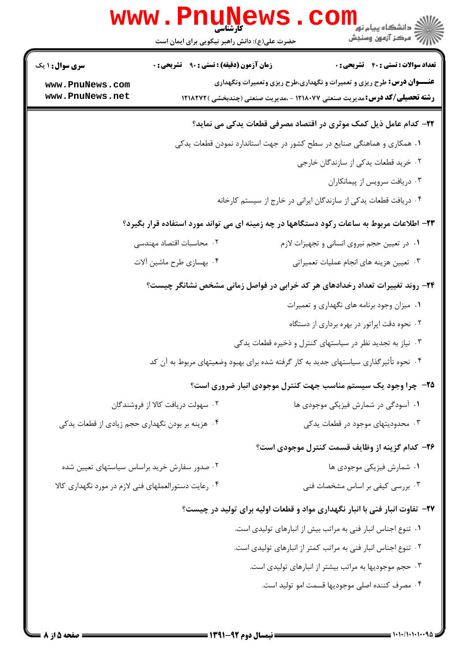|                                                      | www.PnuNews<br>حضرت علی(ع): دانش راهبر نیکویی برای ایمان است | الله دانشگاه پیام نور <b>COM</b><br>الله مرکز آزمون وسنجش                                                                  |
|------------------------------------------------------|--------------------------------------------------------------|----------------------------------------------------------------------------------------------------------------------------|
| <b>سری سوال : ۱ یک</b><br>www.PnuNews.com            | <b>زمان آزمون (دقیقه) : تستی : ۹۰ قشریحی : 0</b>             | <b>تعداد سوالات : تستی : 40 قشریحی : 0</b><br><b>عنـــوان درس:</b> طرح ریزی و تعمیرات و نگهداری،طرح ریزی وتعمیرات ونگهداری |
| www.PnuNews.net                                      |                                                              | <b>رشته تحصیلی/کد درس:</b> مدیریت صنعتی ۱۲۱۸۰۷۷ - ،مدیریت صنعتی (چندبخشی )۱۲۱۸۲۷۲                                          |
|                                                      |                                                              | ۲۲– کدام عامل ذیل کمک موثری در اقتصاد مصرفی قطعات یدکی می نماید؟                                                           |
|                                                      |                                                              | ۰۱ همکاری و هماهنگی صنایع در سطح کشور در جهت استاندارد نمودن قطعات یدکی                                                    |
|                                                      |                                                              | ۰۲ خرید قطعات یدکی از سازندگان خارجی                                                                                       |
|                                                      |                                                              | ۰۳ دریافت سرویس از پیمانکاران                                                                                              |
|                                                      |                                                              | ۰۴ دریافت قطعات یدکی از سازندگان ایرانی در خارج از سیستم کارخانه                                                           |
|                                                      |                                                              | ۲۳- اطلاعات مربوط به ساعات رکود دستگاهها در چه زمینه ای می تواند مورد استفاده قرار بگیرد؟                                  |
|                                                      | ۰۲ محاسبات اقتصاد مهندسی                                     | ۰۱ در تعیین حجم نیروی انسانی و تجهیزات لازم                                                                                |
|                                                      | ۰۴ بهسازی طرح ماشین آلات                                     | ۰۳ تعیین هزینه های انجام عملیات تعمیراتی                                                                                   |
|                                                      |                                                              | ۲۴- روند تغییرات تعداد رخدادهای هر کد خرابی در فواصل زمانی مشخص نشانگر چیست؟                                               |
|                                                      |                                                              | ۰۱ میزان وجود برنامه های نگهداری و تعمیرات                                                                                 |
|                                                      |                                                              | ۲. نحوه دقت اپراتور در بهره برداری از دستگاه                                                                               |
|                                                      |                                                              | ۰۳ نیاز به تجدید نظر در سیاستهای کنترل و ذخیره قطعات یدکی                                                                  |
|                                                      |                                                              | ۰۴ نحوه تأثیرگذاری سیاستهای جدید به کار گرفته شده برای بهبود وضعیتهای مربوط به آن کد                                       |
|                                                      |                                                              | ۲۵- چرا وجود یک سیستم مناسب جهت کنترل موجودی انبار ضروری است؟                                                              |
|                                                      | ۰۲ سهولت دريافت كالا از فروشندگان                            | ۰۱ آسودگی در شمارش فیزیکی موجودی ها                                                                                        |
| ۰۴ هزینه بر بودن نگهداری حجم زیادی از قطعات یدکی     |                                                              | ۰۳ محدودیتهای موجود در قطعات یدکی                                                                                          |
|                                                      |                                                              | ۲۶- کدام گزینه از وظایف قسمت کنترل موجودی است؟                                                                             |
| ۰۲ صدور سفارش خرید براساس سیاستهای تعیین شده         |                                                              | ۰۱ شمارش فیزیکی موجودی ها                                                                                                  |
| ۰۴ رعایت دستورالعملهای فنی لازم در مورد نگهداری کالا |                                                              | ۰۳ بررسی کیفی بر اساس مشخصات فنی                                                                                           |
|                                                      |                                                              | ۲۷- تفاوت انبار فنی با انبار نگهداری مواد و قطعات اولیه برای تولید در چیست؟                                                |
|                                                      |                                                              | ٠١ تنوع اجناس انبار فني به مراتب بيش از انبارهاي توليدي است.                                                               |
|                                                      |                                                              | ۰۲ تنوع اجناس انبار فنی به مراتب کمتر از انبارهای تولیدی است.                                                              |
|                                                      |                                                              | ۰۳ حجم موجودیها به مراتب بیشتر از انبارهای تولیدی است.                                                                     |
|                                                      |                                                              | ۰۴ مصرف كننده اصلى موجوديها قسمت امو توليد است.                                                                            |
|                                                      |                                                              | = \.\./\.\.\94 =                                                                                                           |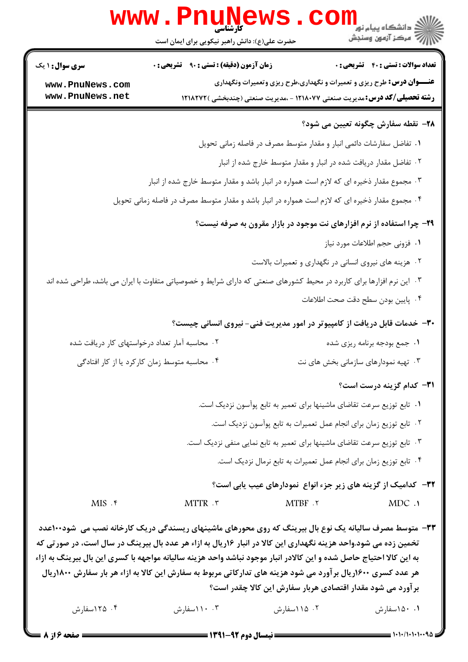|                                                                                                  | www.PnuNews                                                                                                                                                                                                                                                                                                                                                                                                                                                     |                                                                            | الا<br>الا دانشگاه پيام نور<br>الا - مرکز آزمون وسنڊش                             |
|--------------------------------------------------------------------------------------------------|-----------------------------------------------------------------------------------------------------------------------------------------------------------------------------------------------------------------------------------------------------------------------------------------------------------------------------------------------------------------------------------------------------------------------------------------------------------------|----------------------------------------------------------------------------|-----------------------------------------------------------------------------------|
|                                                                                                  | حضرت علی(ع): دانش راهبر نیکویی برای ایمان است                                                                                                                                                                                                                                                                                                                                                                                                                   |                                                                            |                                                                                   |
| <b>سری سوال :</b> ۱ یک                                                                           | <b>زمان آزمون (دقیقه) : تستی : ۹۰ تشریحی : 0</b>                                                                                                                                                                                                                                                                                                                                                                                                                |                                                                            | <b>تعداد سوالات : تستي : 40 - تشريحي : 0</b>                                      |
| www.PnuNews.com                                                                                  |                                                                                                                                                                                                                                                                                                                                                                                                                                                                 |                                                                            | <b>عنـــوان درس:</b> طرح ریزی و تعمیرات و نگهداری،طرح ریزی وتعمیرات ونگهداری      |
| www.PnuNews.net                                                                                  |                                                                                                                                                                                                                                                                                                                                                                                                                                                                 |                                                                            | <b>رشته تحصیلی/کد درس:</b> مدیریت صنعتی ۱۲۱۸۰۷۷ - ،مدیریت صنعتی (چندبخشی )۱۲۱۸۲۷۲ |
|                                                                                                  |                                                                                                                                                                                                                                                                                                                                                                                                                                                                 |                                                                            | 7۸– نقطه سفارش چگونه تعیین می شود؟                                                |
|                                                                                                  |                                                                                                                                                                                                                                                                                                                                                                                                                                                                 | ۰۱ تفاضل سفارشات دائمی انبار و مقدار متوسط مصرف در فاصله زمانی تحویل       |                                                                                   |
|                                                                                                  |                                                                                                                                                                                                                                                                                                                                                                                                                                                                 | ۲. تفاضل مقدار دریافت شده در انبار و مقدار متوسط خارج شده از انبار         |                                                                                   |
| ۰۳ مجموع مقدار ذخیره ای که لازم است همواره در انبار باشد و مقدار متوسط خارج شده از انبار         |                                                                                                                                                                                                                                                                                                                                                                                                                                                                 |                                                                            |                                                                                   |
| ۰۴ مجموع مقدار ذخیره ای که لازم است همواره در انبار باشد و مقدار متوسط مصرف در فاصله زمانی تحویل |                                                                                                                                                                                                                                                                                                                                                                                                                                                                 |                                                                            |                                                                                   |
|                                                                                                  |                                                                                                                                                                                                                                                                                                                                                                                                                                                                 |                                                                            | ۲۹- چرا استفاده از نرم افزارهای نت موجود در بازار مقرون به صرفه نیست؟             |
|                                                                                                  |                                                                                                                                                                                                                                                                                                                                                                                                                                                                 |                                                                            | ٠١ فزوني حجم اطلاعات مورد نياز                                                    |
|                                                                                                  |                                                                                                                                                                                                                                                                                                                                                                                                                                                                 | ۰۲ هزینه های نیروی انسانی در نگهداری و تعمیرات بالاست                      |                                                                                   |
|                                                                                                  | ۰۳ این نرم افزارها برای کاربرد در محیط کشورهای صنعتی که دارای شرایط و خصوصیاتی متفاوت با ایران می باشد، طراحی شده اند                                                                                                                                                                                                                                                                                                                                           |                                                                            |                                                                                   |
|                                                                                                  |                                                                                                                                                                                                                                                                                                                                                                                                                                                                 |                                                                            | ۰۴ پایین بودن سطح دقت صحت اطلاعات                                                 |
|                                                                                                  |                                                                                                                                                                                                                                                                                                                                                                                                                                                                 |                                                                            | ۳۰- خدمات قابل دریافت از کامپیوتر در امور مدیریت فنی- نیروی انسانی چیست؟          |
|                                                                                                  | ۰۲ محاسبه آمار تعداد درخواستهای کار دریافت شده                                                                                                                                                                                                                                                                                                                                                                                                                  |                                                                            | ۰۱ جمع بودجه برنامه ريزي شده                                                      |
|                                                                                                  | ۰۴ محاسبه متوسط زمان کارکرد یا از کار افتادگی                                                                                                                                                                                                                                                                                                                                                                                                                   |                                                                            | ۰۳ تهیه نمودارهای سازمانی بخش های نت                                              |
|                                                                                                  |                                                                                                                                                                                                                                                                                                                                                                                                                                                                 |                                                                            |                                                                                   |
|                                                                                                  |                                                                                                                                                                                                                                                                                                                                                                                                                                                                 |                                                                            | <b>٣١-</b> كدام گزينه درست است؟                                                   |
|                                                                                                  |                                                                                                                                                                                                                                                                                                                                                                                                                                                                 | ۰۱ تابع توزیع سرعت تقاضای ماشینها برای تعمیر به تابع پوآسون نزدیک است.     |                                                                                   |
|                                                                                                  |                                                                                                                                                                                                                                                                                                                                                                                                                                                                 | ۰۲ تابع توزیع زمان برای انجام عمل تعمیرات به تابع پوآسون نزدیک است.        |                                                                                   |
|                                                                                                  |                                                                                                                                                                                                                                                                                                                                                                                                                                                                 | ۰۳ تابع توزیع سرعت تقاضای ماشینها برای تعمیر به تابع نمایی منفی نزدیک است. |                                                                                   |
|                                                                                                  |                                                                                                                                                                                                                                                                                                                                                                                                                                                                 | ۰۴ تابع توزیع زمان برای انجام عمل تعمیرات به تابع نرمال نزدیک است.         |                                                                                   |
|                                                                                                  |                                                                                                                                                                                                                                                                                                                                                                                                                                                                 |                                                                            | <b>۳۲</b> – کدامیک از گزینه های زیر جزء انواع نمودارهای عیب یابی است؟             |
| $MIS.$ ۴                                                                                         | MTTR . ٣                                                                                                                                                                                                                                                                                                                                                                                                                                                        | $MTBF$ . $\tau$                                                            | MDC.                                                                              |
|                                                                                                  | ۳۳- متوسط مصرف سالیانه یک نوع بال بیرینگ که روی محورهای ماشینهای ریسندگی دریک کارخانه نصب می ًشود۱۰۰عدد<br>تخمین زده می شود.واحد هزینه نگهداری این کالا در انبار ۱۶ریال به ازاء هر عدد بال بیرینگ در سال است، در صورتی که<br>به این کالا احتیاج حاصل شده و این کالادر انبار موجود نباشد واحد هزینه سالیانه مواجهه با کسری این بال بیرینگ به ازاء<br>هر عدد کسری ۱۶۰۰ریال برآورد می شود هزینه های تدارکاتی مربوط به سفارش این کالا به ازاء هر بار سفارش ۱۸۰۰ریال | برآورد می شود مقدار اقتصادی هربار سفارش این کالا چقدر است؟                 |                                                                                   |
| ۰۴ ۱۲۵ سفارش                                                                                     | ۰۳ ۱۱۰سفارش                                                                                                                                                                                                                                                                                                                                                                                                                                                     | ۰۲ ۱۱۵ اسفارش                                                              | ۰۱ ۱۵۰سفارش                                                                       |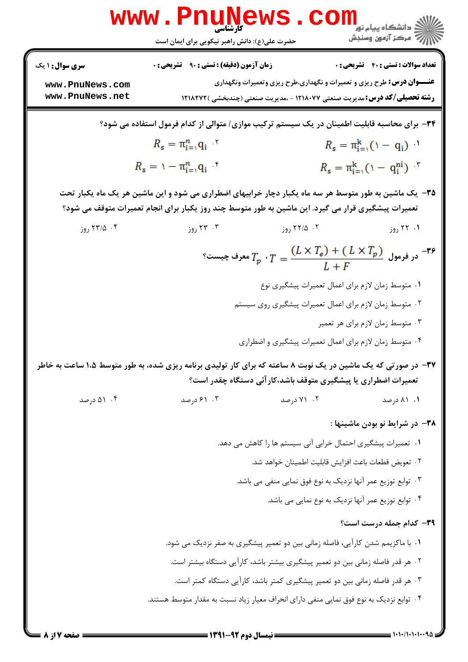|                        | <b>www.PnuNews</b>                                                                                                                                                                                            |                                                                                         |                                                      |
|------------------------|---------------------------------------------------------------------------------------------------------------------------------------------------------------------------------------------------------------|-----------------------------------------------------------------------------------------|------------------------------------------------------|
|                        | حضرت علی(ع): دانش راهبر نیکویی برای ایمان است                                                                                                                                                                 |                                                                                         | ڪ دانشڪاه پيا <sub>م</sub> نور<br>۾ مرڪز آزمون وسنجش |
| <b>سری سوال : ۱ یک</b> | <b>زمان آزمون (دقیقه) : تستی : ۹۰٪ تشریحی : 0</b>                                                                                                                                                             |                                                                                         | تعداد سوالات : تستي : 40 - تشريحي : 0                |
| www.PnuNews.com        |                                                                                                                                                                                                               | <b>عنـــوان درس:</b> طرح ریزی و تعمیرات و نگهداری،طرح ریزی وتعمیرات ونگهداری            |                                                      |
| www.PnuNews.net        |                                                                                                                                                                                                               | <b>رشته تحصیلی/کد درس:</b> مدیریت صنعتی ۱۲۱۸۰۷۷ - ،مدیریت صنعتی (چندبخشی )۱۲۱۸۲۷۲       |                                                      |
|                        | ۳۴– برای محاسبه قابلیت اطمینان در یک سیستم ترکیب موازی/ متوالی از کدام فرمول استفاده می شود؟                                                                                                                  |                                                                                         |                                                      |
|                        | $R_{\rm s} = \pi_{\rm i=1}^n q_{\rm i}$ '                                                                                                                                                                     |                                                                                         | $R_{s} = \pi_{i=1}^{k} (1 - q_{i})$                  |
|                        | $R_{\rm s} = 1 - \pi_{i=1}^n q_i$                                                                                                                                                                             |                                                                                         | $R_s = \pi_{i=1}^k (\uparrow - q_i^{ni})$ "          |
|                        | ۳۵– یک ماشین به طور متوسط هر سه ماه یکبار دچار خرابیهای اضطراری می شود و این ماشین هر یک ماه یکبار تحت<br>تعمیرات پیشگیری قرار می گیرد. این ماشین به طور متوسط چند روز یکبار برای انجام تعمیرات متوقف می شود؟ |                                                                                         |                                                      |
| ۰۴ ۱۳/۵ روز            | ۰۳ روز                                                                                                                                                                                                        | ۰۲ ۱۲/۵ روز                                                                             | ۰۱ ۲۲ روز                                            |
|                        |                                                                                                                                                                                                               | °۰ در فرمول $T_p\cdot T=\dfrac{(L\times T_e)+(\ L\times T_p)}{L+F}$ معرف چیست $T$       |                                                      |
|                        |                                                                                                                                                                                                               | ٠١ متوسط زمان لازم براي اعمال تعميرات پيشگيري نوع                                       |                                                      |
|                        |                                                                                                                                                                                                               | ۰۲ متوسط زمان لازم برای اعمال تعمیرات پیشگیری روی سیستم                                 |                                                      |
|                        |                                                                                                                                                                                                               |                                                                                         | ۰۳ متوسط زمان لازم برای هر تعمیر                     |
|                        |                                                                                                                                                                                                               | ۰۴ متوسط زمان لازم براي اعمال تعميرات پيشگيري و اضطراري                                 |                                                      |
|                        | ۳۷– در صورتی که یک ماشین در یک نوبت ۸ ساعته که برای کار تولیدی برنامه ریزی شده، به طور متوسط ۱،۵ ساعت به خاطر                                                                                                 | تعمیرات اضطراری یا پیشگیری متوقف باشد،کارآئی دستگاه چقدر است؟                           |                                                      |
| ۰۴ (۵۱ درصد            | ۰۳ درصد                                                                                                                                                                                                       | ۰۲ درصد                                                                                 | ۰۱ ۸۱ درصد                                           |
|                        |                                                                                                                                                                                                               |                                                                                         | ۳۸– در شرایط نو بودن ماشینها :                       |
|                        |                                                                                                                                                                                                               | ۰۱ تعمیرات پیشگیری احتمال خرابی آنی سیستم ها را کاهش می دهد.                            |                                                      |
|                        |                                                                                                                                                                                                               | ٠٢ تعويض قطعات باعث افزايش قابليت اطمينان خواهد شد.                                     |                                                      |
|                        |                                                                                                                                                                                                               | ۰۳ توابع توزیع عمر آنها نزدیک به نوع فوق نمایی منفی می باشد.                            |                                                      |
|                        |                                                                                                                                                                                                               | ۰۴ توابع توزیع عمر آنها نزدیک به نوع نمایی می باشد.                                     |                                                      |
|                        |                                                                                                                                                                                                               |                                                                                         | ۳۹- کدام جمله درست است؟                              |
|                        |                                                                                                                                                                                                               | ۰۱ با ماکزیمم شدن کارآیی، فاصله زمانی بین دو تعمیر پیشگیری به صفر نزدیک می شود.         |                                                      |
|                        |                                                                                                                                                                                                               | ۲ . هر قدر فاصله زمانی بین دو تعمیر پیشگیری بیشتر باشد، کارآیی دستگاه بیشتر است.        |                                                      |
|                        |                                                                                                                                                                                                               | ۰۳ هر قدر فاصله زمانی بین دو تعمیر پیشگیری کمتر باشد، کارآیی دستگاه کمتر است.           |                                                      |
|                        |                                                                                                                                                                                                               | ۰۴ توابع نزدیک به نوع فوق نمایی منفی دارای انحراف معیار زیاد نسبت به مقدار متوسط هستند. |                                                      |
|                        |                                                                                                                                                                                                               |                                                                                         |                                                      |

 $1.1.1.1.1.1$